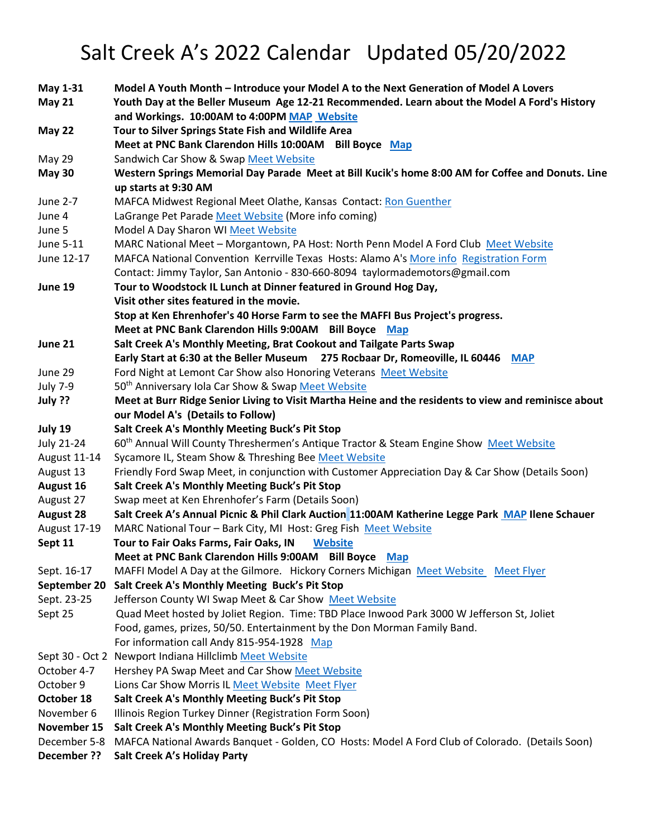## Salt Creek A's 2022 Calendar Updated 05/20/2022

| May 1-31<br><b>May 21</b> | Model A Youth Month - Introduce your Model A to the Next Generation of Model A Lovers<br>Youth Day at the Beller Museum Age 12-21 Recommended. Learn about the Model A Ford's History<br>and Workings. 10:00AM to 4:00PM MAP Website |
|---------------------------|--------------------------------------------------------------------------------------------------------------------------------------------------------------------------------------------------------------------------------------|
| <b>May 22</b>             | Tour to Silver Springs State Fish and Wildlife Area<br>Meet at PNC Bank Clarendon Hills 10:00AM Bill Boyce Map                                                                                                                       |
| <b>May 29</b>             | Sandwich Car Show & Swap Meet Website                                                                                                                                                                                                |
| <b>May 30</b>             | Western Springs Memorial Day Parade Meet at Bill Kucik's home 8:00 AM for Coffee and Donuts. Line                                                                                                                                    |
|                           | up starts at 9:30 AM                                                                                                                                                                                                                 |
| June 2-7                  | MAFCA Midwest Regional Meet Olathe, Kansas Contact: Ron Guenther                                                                                                                                                                     |
| June 4                    | LaGrange Pet Parade Meet Website (More info coming)                                                                                                                                                                                  |
| June 5                    | Model A Day Sharon WI Meet Website                                                                                                                                                                                                   |
| June 5-11                 | MARC National Meet - Morgantown, PA Host: North Penn Model A Ford Club Meet Website                                                                                                                                                  |
| June 12-17                | MAFCA National Convention Kerrville Texas Hosts: Alamo A's More info Registration Form                                                                                                                                               |
|                           | Contact: Jimmy Taylor, San Antonio - 830-660-8094 taylormademotors@gmail.com                                                                                                                                                         |
| June 19                   | Tour to Woodstock IL Lunch at Dinner featured in Ground Hog Day,                                                                                                                                                                     |
|                           | Visit other sites featured in the movie.                                                                                                                                                                                             |
|                           | Stop at Ken Ehrenhofer's 40 Horse Farm to see the MAFFI Bus Project's progress.                                                                                                                                                      |
|                           | Meet at PNC Bank Clarendon Hills 9:00AM Bill Boyce Map                                                                                                                                                                               |
| June 21                   | Salt Creek A's Monthly Meeting, Brat Cookout and Tailgate Parts Swap                                                                                                                                                                 |
|                           | Early Start at 6:30 at the Beller Museum 275 Rocbaar Dr, Romeoville, IL 60446 MAP                                                                                                                                                    |
| June 29                   | Ford Night at Lemont Car Show also Honoring Veterans Meet Website                                                                                                                                                                    |
| <b>July 7-9</b>           | 50 <sup>th</sup> Anniversary Iola Car Show & Swap Meet Website                                                                                                                                                                       |
| July ??                   | Meet at Burr Ridge Senior Living to Visit Martha Heine and the residents to view and reminisce about                                                                                                                                 |
|                           | our Model A's (Details to Follow)                                                                                                                                                                                                    |
| July 19                   | Salt Creek A's Monthly Meeting Buck's Pit Stop                                                                                                                                                                                       |
| July 21-24                | 60 <sup>th</sup> Annual Will County Threshermen's Antique Tractor & Steam Engine Show Meet Website                                                                                                                                   |
| August 11-14              | Sycamore IL, Steam Show & Threshing Bee Meet Website                                                                                                                                                                                 |
| August 13                 | Friendly Ford Swap Meet, in conjunction with Customer Appreciation Day & Car Show (Details Soon)                                                                                                                                     |
| August 16                 | Salt Creek A's Monthly Meeting Buck's Pit Stop                                                                                                                                                                                       |
| August 27                 | Swap meet at Ken Ehrenhofer's Farm (Details Soon)                                                                                                                                                                                    |
| <b>August 28</b>          | Salt Creek A's Annual Picnic & Phil Clark Auction 11:00AM Katherine Legge Park MAP Ilene Schauer                                                                                                                                     |
| <b>August 17-19</b>       | MARC National Tour - Bark City, MI Host: Greg Fish Meet Website                                                                                                                                                                      |
| Sept 11                   | Tour to Fair Oaks Farms, Fair Oaks, IN<br><b>Website</b>                                                                                                                                                                             |
|                           | Meet at PNC Bank Clarendon Hills 9:00AM Bill Boyce<br><b>Map</b>                                                                                                                                                                     |
| Sept. 16-17               | MAFFI Model A Day at the Gilmore. Hickory Corners Michigan Meet Website Meet Flyer                                                                                                                                                   |
| September 20              | Salt Creek A's Monthly Meeting Buck's Pit Stop                                                                                                                                                                                       |
| Sept. 23-25               | Jefferson County WI Swap Meet & Car Show Meet Website                                                                                                                                                                                |
| Sept 25                   | Quad Meet hosted by Joliet Region. Time: TBD Place Inwood Park 3000 W Jefferson St, Joliet                                                                                                                                           |
|                           | Food, games, prizes, 50/50. Entertainment by the Don Morman Family Band.                                                                                                                                                             |
|                           | For information call Andy 815-954-1928 Map                                                                                                                                                                                           |
|                           | Sept 30 - Oct 2 Newport Indiana Hillclimb Meet Website                                                                                                                                                                               |
| October 4-7               | Hershey PA Swap Meet and Car Show Meet Website                                                                                                                                                                                       |
| October 9                 | Lions Car Show Morris IL Meet Website Meet Flyer                                                                                                                                                                                     |
| October 18                | Salt Creek A's Monthly Meeting Buck's Pit Stop                                                                                                                                                                                       |
| November 6                | Illinois Region Turkey Dinner (Registration Form Soon)                                                                                                                                                                               |
| November 15               | Salt Creek A's Monthly Meeting Buck's Pit Stop                                                                                                                                                                                       |
| December 5-8              | MAFCA National Awards Banquet - Golden, CO Hosts: Model A Ford Club of Colorado. (Details Soon)                                                                                                                                      |
| December ??               | Salt Creek A's Holiday Party                                                                                                                                                                                                         |